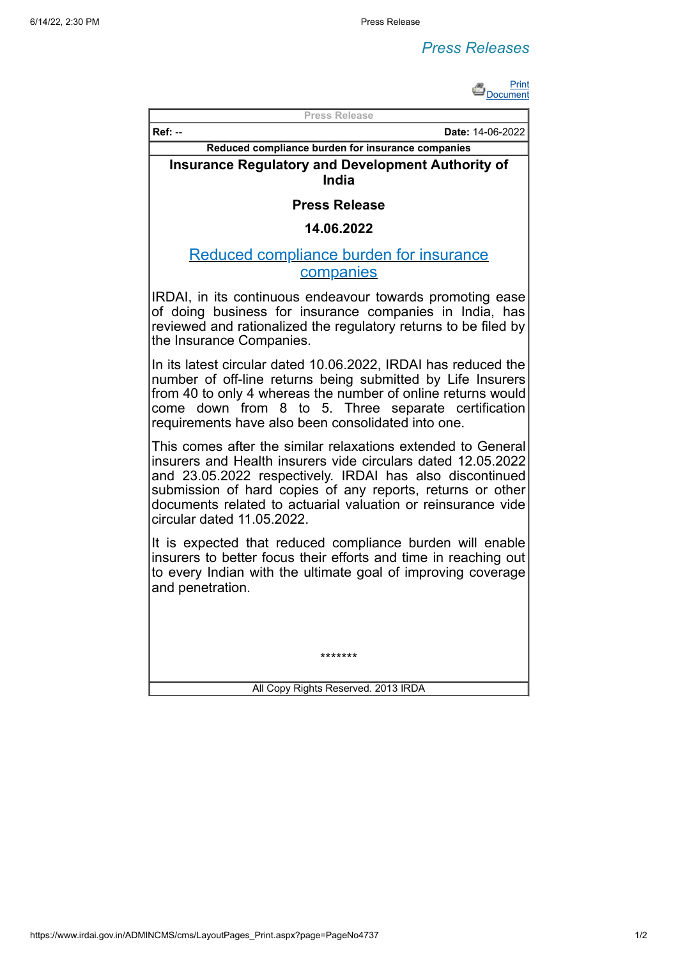## *Press Releases*



| טווסטע                                                                                                                                                                                                                                                                                                                                               |
|------------------------------------------------------------------------------------------------------------------------------------------------------------------------------------------------------------------------------------------------------------------------------------------------------------------------------------------------------|
| <b>Press Release</b>                                                                                                                                                                                                                                                                                                                                 |
| $Ref: -$<br>Date: 14-06-2022                                                                                                                                                                                                                                                                                                                         |
| Reduced compliance burden for insurance companies                                                                                                                                                                                                                                                                                                    |
| <b>Insurance Regulatory and Development Authority of</b><br>India                                                                                                                                                                                                                                                                                    |
| <b>Press Release</b>                                                                                                                                                                                                                                                                                                                                 |
| 14.06.2022                                                                                                                                                                                                                                                                                                                                           |
| <u>Reduced compliance burden for insurance</u><br>companies                                                                                                                                                                                                                                                                                          |
| IRDAI, in its continuous endeavour towards promoting ease<br>of doing business for insurance companies in India, has<br>reviewed and rationalized the regulatory returns to be filed by<br>the Insurance Companies.                                                                                                                                  |
| In its latest circular dated 10.06.2022, IRDAI has reduced the<br>number of off-line returns being submitted by Life Insurers<br>from 40 to only 4 whereas the number of online returns would<br>come down from 8 to 5. Three separate certification<br>requirements have also been consolidated into one.                                           |
| This comes after the similar relaxations extended to General<br>insurers and Health insurers vide circulars dated 12.05.2022<br>and 23.05.2022 respectively. IRDAI has also discontinued<br>submission of hard copies of any reports, returns or other<br>documents related to actuarial valuation or reinsurance vide<br>circular dated 11.05.2022. |
| It is expected that reduced compliance burden will enable<br>insurers to better focus their efforts and time in reaching out<br>to every Indian with the ultimate goal of improving coverage<br>and penetration.                                                                                                                                     |
|                                                                                                                                                                                                                                                                                                                                                      |
| *******                                                                                                                                                                                                                                                                                                                                              |
| All Copy Rights Reserved. 2013 IRDA                                                                                                                                                                                                                                                                                                                  |

https://www.irdai.gov.in/ADMINCMS/cms/LayoutPages\_Print.aspx?page=PageNo4737 1/2